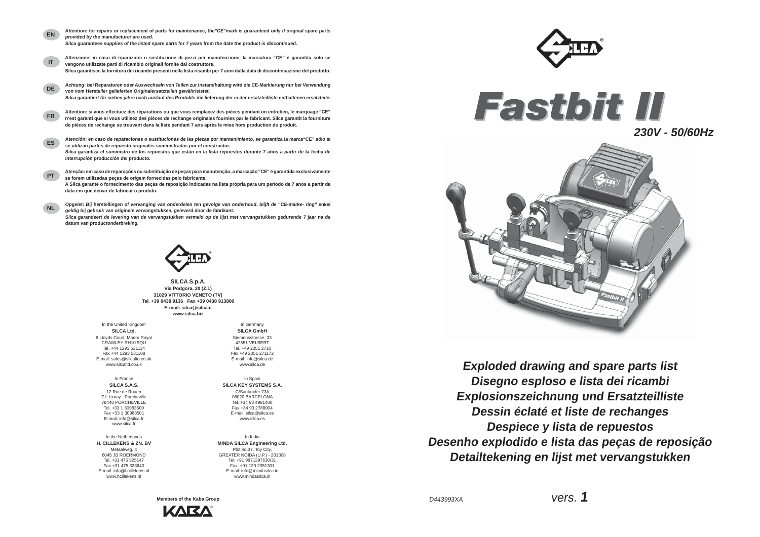*Fastbit II*





**Exploded drawing and spare parts list Disegno esploso e lista dei ricambi Explosionszeichnung und Ersatzteilliste Dessin éclaté et liste de rechanges Despiece y lista de repuestos Desenho explodido e lista das peças de reposição Detailtekening en lijst met vervangstukken**

D443993XA

vers. **1**





**Members of the Kaba Group** KARA

**SILCA Ltd.** 6 Lloyds Court, Manor Royal CRAWLEY RH10 9QU Tel. +44 1293 531134 Fax +44 1293 531108 E-mail: sales@silcaltd.co.uk www.silcaltd.co.uk

**SILCA GmbH** Siemensstrasse, 33 42551 VELBERTTel. +49 2051 2710 Fax +49 2051 271172 E-mail: info@silca.de www.silca.de

In France**SILCA S.A.S.**12 Rue de Rouen Z.I. Limay - Porcheville 78440 PORCHEVILLE Tel. +33 1 30983500 Fax +33 1 30983501 E-mail: info@silca.fr www.silca.fr

In Spain **SILCA KEY SYSTEMS S.A.**C/Santander 73A 08020 BARCELONA Tel. +34 93 4981400 Fax +34 93 2788004E-mail: silca@silca.eswww.silca.es

In the Netherlands **H. CILLEKENS & ZN. BV** Metaalweg, 4 6045 JB ROERMOND Tel. +31 475 325147 Fax +31 475 323640 E-mail: info@hcillekens.nl www.hcillekens.nl

In India**MINDA SILCA Engineering Ltd.** Plot no.37, Toy City, GREATER NOIDA (U.P.) - 201308 Tel: +91 9871397630/31 Fax: +91 120 2351301 E-mail: info@mindasilca.inwww.mindasilca.in

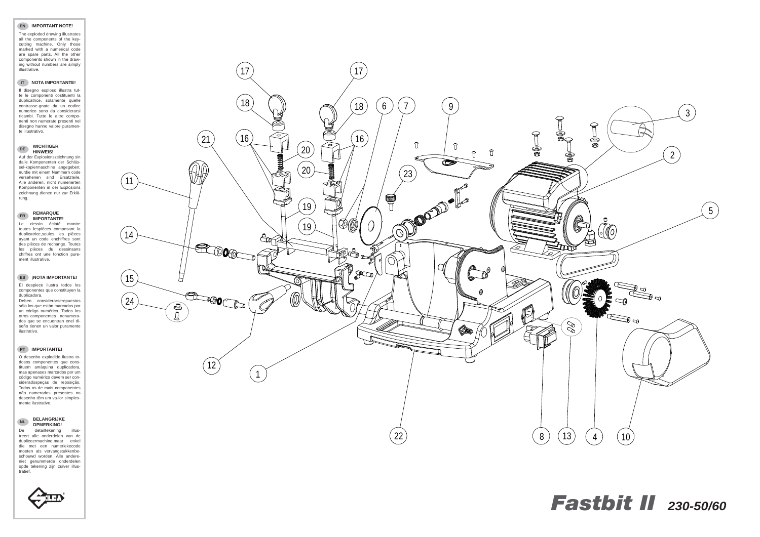#### **EN IMPORTANT NOTE!**

The exploded drawing illustrates all the components of the keycutting machine. Only those marked with a numerical code are spare parts. All the other components shown in the drawing without numbers are simply illustrative.

#### **IT NOTA IMPORTANTE!**

Il disegno esploso illustra tutte le componenti costituenti la duplicatrice, solamente quelle contrasse-gnate da un codice numerico sono da considerarsi ricambi. Tutte le altre componenti non numerate presenti nel disegno hanno valore puramente illustrativo.

## **DE WICHTIGER HINWEIS!**

 Auf der Explosionszeichnung sin dalle Komponenten der Schlüssel-kopiermaschine angegeben; nurdie mit einem Nummern code versehenen sind Ersatzteile. Alle anderen, nicht numerierten Komponenten in der Explosions zeichnung dienen nur zur Erklärung.

### **FR REMARQUE IMPORTANTE!**

#### **NL BELANGRIJKE OPMERKING!**De detailtekening illus-

 Le dessin éclaté montre toutes lespièces composant la duplicatrice,seules les pièces ayant un code enchiffres sont des pièces de rechange. Toutes les pièces du dessinsans chiffres ont une fonction purement illustrative.

#### **ES ¡NOTA IMPORTANTE!**

El despiece ilustra todos los componentes que constituyen la duplicadora.

Deben considerarserepuestos sólo los que están marcados por un código numérico. Todos los otros componentes nonumerados que se encuentran enel diseño tienen un valor puramente ilustrativo.

#### **PT IMPORTANTE!**

O desenho explodido ilustra todosos componentes que constituem amáquina duplicadora, mas apenasos marcados por um código numérico devem ser consideradospeças de reposição. Todos os de mais componentes não numerados presentes no desenho têm um va-lor simplesmente ilustrativo.

treert alle onderdelen van de dupliceermachine,maar enkel die met een numeriekecode moeten als vervangstukkenbeschouwd worden. Alle andereniet genummerde onderdelen opde tekening zijn zuiver illustratief.

# *Fastbit II 230-50/60*